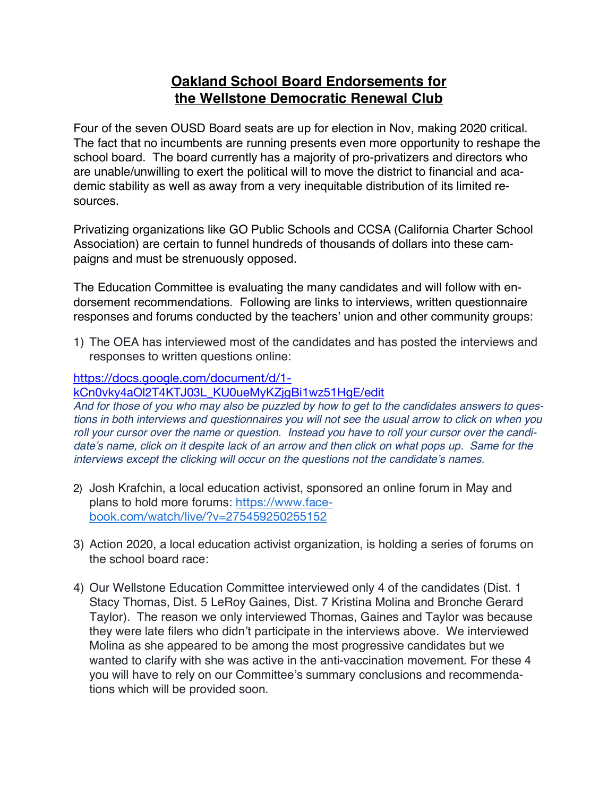# **Oakland School Board Endorsements for the Wellstone Democratic Renewal Club**

Four of the seven OUSD Board seats are up for election in Nov, making 2020 critical. The fact that no incumbents are running presents even more opportunity to reshape the school board. The board currently has a majority of pro-privatizers and directors who are unable/unwilling to exert the political will to move the district to financial and academic stability as well as away from a very inequitable distribution of its limited resources.

Privatizing organizations like GO Public Schools and CCSA (California Charter School Association) are certain to funnel hundreds of thousands of dollars into these campaigns and must be strenuously opposed.

The Education Committee is evaluating the many candidates and will follow with endorsement recommendations. Following are links to interviews, written questionnaire responses and forums conducted by the teachers' union and other community groups:

1) The OEA has interviewed most of the candidates and has posted the interviews and responses to written questions online:

## https://docs.google.com/document/d/1-

kCn0vky4aOl2T4KTJ03L\_KU0ueMyKZjgBi1wz51HgE/edit

And for those of you who may also be puzzled by how to get to the candidates answers to ques*tions in both interviews and questionnaires you will not see the usual arrow to click on when you roll your cursor over the name or question. Instead you have to roll your cursor over the candi*date's name, click on it despite lack of an arrow and then click on what pops up. Same for the *interviews except the clicking will occur on the questions not the candidate's names.*

- 2) Josh Krafchin, a local education activist, sponsored an online forum in May and plans to hold more forums: https://www.facebook.com/watch/live/?v=275459250255152
- 3) Action 2020, a local education activist organization, is holding a series of forums on the school board race:
- 4) Our Wellstone Education Committee interviewed only 4 of the candidates (Dist. 1 Stacy Thomas, Dist. 5 LeRoy Gaines, Dist. 7 Kristina Molina and Bronche Gerard Taylor). The reason we only interviewed Thomas, Gaines and Taylor was because they were late filers who didn't participate in the interviews above. We interviewed Molina as she appeared to be among the most progressive candidates but we wanted to clarify with she was active in the anti-vaccination movement. For these 4 you will have to rely on our Committee's summary conclusions and recommendations which will be provided soon.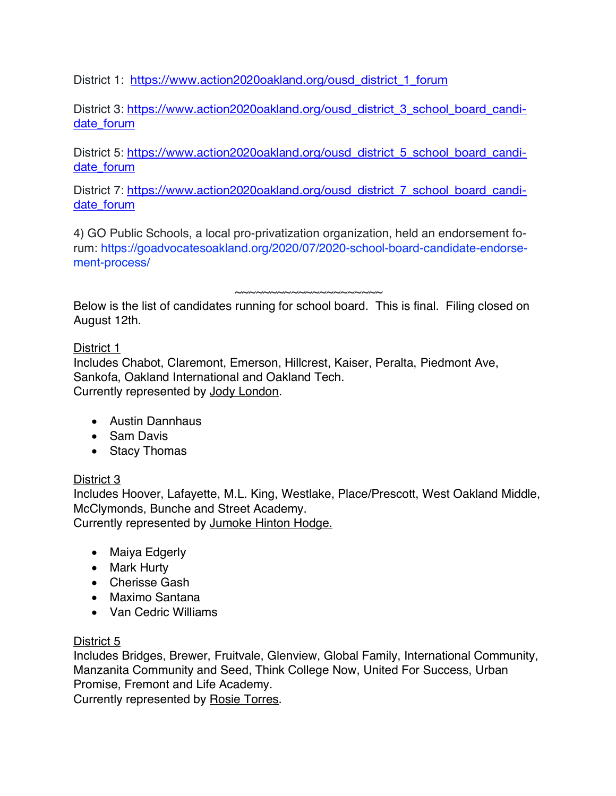District 1: https://www.action2020oakland.org/ousd\_district\_1\_forum

District 3: https://www.action2020oakland.org/ousd\_district\_3\_school\_board\_candidate forum

District 5: https://www.action2020oakland.org/ousd\_district\_5\_school\_board\_candidate\_forum

District 7: https://www.action2020oakland.org/ousd\_district\_7\_school\_board\_candidate forum

4) GO Public Schools, a local pro-privatization organization, held an endorsement forum: https://goadvocatesoakland.org/2020/07/2020-school-board-candidate-endorsement-process/

~~~~~~~~~~~~~~~~~~~~~

Below is the list of candidates running for school board. This is final. Filing closed on August 12th.

## District 1

Includes Chabot, Claremont, Emerson, Hillcrest, Kaiser, Peralta, Piedmont Ave, Sankofa, Oakland International and Oakland Tech. Currently represented by Jody London.

- Austin Dannhaus
- Sam Davis
- Stacy Thomas

# District 3

Includes Hoover, Lafayette, M.L. King, Westlake, Place/Prescott, West Oakland Middle, McClymonds, Bunche and Street Academy.

Currently represented by Jumoke Hinton Hodge.

- Maiya Edgerly
- Mark Hurty
- Cherisse Gash
- Maximo Santana
- Van Cedric Williams

# District 5

Includes Bridges, Brewer, Fruitvale, Glenview, Global Family, International Community, Manzanita Community and Seed, Think College Now, United For Success, Urban Promise, Fremont and Life Academy.

Currently represented by Rosie Torres.